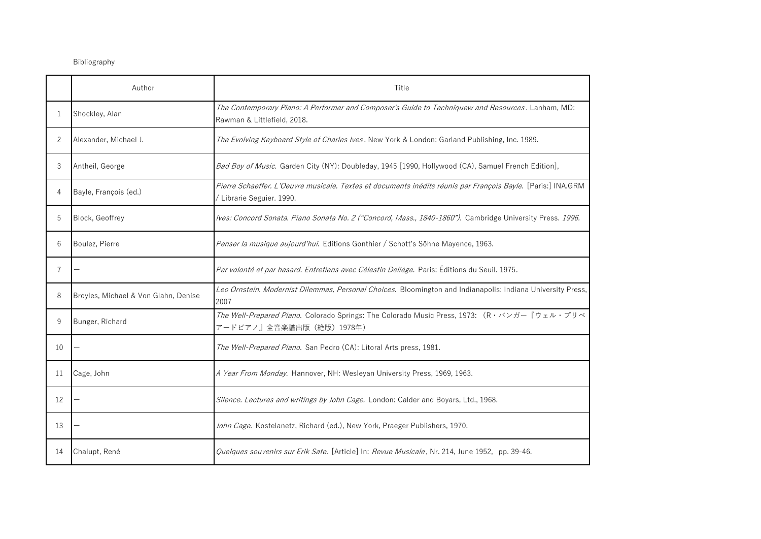## Bibliography

|    | Author                               | Title                                                                                                                                     |
|----|--------------------------------------|-------------------------------------------------------------------------------------------------------------------------------------------|
| 1  | Shockley, Alan                       | The Contemporary Piano: A Performer and Composer's Guide to Techniquew and Resources. Lanham, MD:<br>Rawman & Littlefield, 2018.          |
| 2  | Alexander, Michael J.                | The Evolving Keyboard Style of Charles Ives. New York & London: Garland Publishing, Inc. 1989.                                            |
| 3  | Antheil, George                      | Bad Boy of Music. Garden City (NY): Doubleday, 1945 [1990, Hollywood (CA), Samuel French Edition],                                        |
| 4  | Bayle, François (ed.)                | Pierre Schaeffer. L'Oeuvre musicale. Textes et documents inédits réunis par François Bayle. [Paris:] INA.GRM<br>/ Librarie Seguier. 1990. |
| 5  | <b>Block, Geoffrey</b>               | Ives: Concord Sonata. Piano Sonata No. 2 ("Concord, Mass., 1840-1860"). Cambridge University Press. 1996.                                 |
| 6  | Boulez, Pierre                       | Penser la musique aujourd'hui. Editions Gonthier / Schott's Söhne Mayence, 1963.                                                          |
| 7  |                                      | Par volonté et par hasard. Entretiens avec Célestin Deliège. Paris: Éditions du Seuil. 1975.                                              |
| 8  | Broyles, Michael & Von Glahn, Denise | Leo Ornstein. Modernist Dilemmas, Personal Choices. Bloomington and Indianapolis: Indiana University Press,<br>2007                       |
| 9  | Bunger, Richard                      | The Well-Prepared Piano. Colorado Springs: The Colorado Music Press, 1973: (R · バンガー『ウェル・プリペ<br>アードピアノ』全音楽譜出版 (絶版) 1978年)                 |
| 10 |                                      | The Well-Prepared Piano. San Pedro (CA): Litoral Arts press, 1981.                                                                        |
| 11 | Cage, John                           | A Year From Monday. Hannover, NH: Wesleyan University Press, 1969, 1963.                                                                  |
| 12 |                                      | Silence. Lectures and writings by John Cage. London: Calder and Boyars, Ltd., 1968.                                                       |
| 13 |                                      | John Cage. Kostelanetz, Richard (ed.), New York, Praeger Publishers, 1970.                                                                |
| 14 | Chalupt, René                        | Quelques souvenirs sur Erik Sate. [Article] In: Revue Musicale, Nr. 214, June 1952, pp. 39-46.                                            |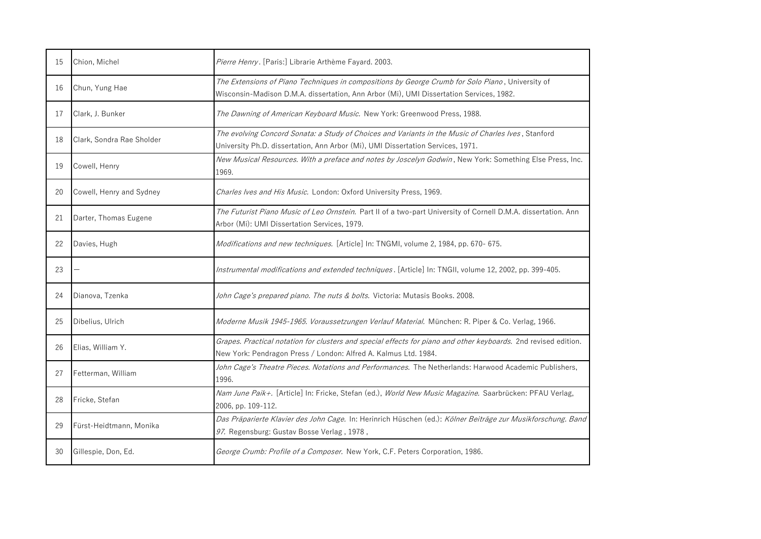| 15 | Chion, Michel             | Pierre Henry. [Paris:] Librarie Arthème Fayard. 2003.                                                                                                                                       |
|----|---------------------------|---------------------------------------------------------------------------------------------------------------------------------------------------------------------------------------------|
| 16 | Chun, Yung Hae            | The Extensions of Piano Techniques in compositions by George Crumb for Solo Piano, University of<br>Wisconsin-Madison D.M.A. dissertation, Ann Arbor (Mi), UMI Dissertation Services, 1982. |
| 17 | Clark, J. Bunker          | The Dawning of American Keyboard Music. New York: Greenwood Press, 1988.                                                                                                                    |
| 18 | Clark, Sondra Rae Sholder | The evolving Concord Sonata: a Study of Choices and Variants in the Music of Charles Ives, Stanford<br>University Ph.D. dissertation, Ann Arbor (Mi), UMI Dissertation Services, 1971.      |
| 19 | Cowell, Henry             | New Musical Resources. With a preface and notes by Joscelyn Godwin, New York: Something Else Press, Inc.<br>1969.                                                                           |
| 20 | Cowell, Henry and Sydney  | Charles Ives and His Music. London: Oxford University Press, 1969.                                                                                                                          |
| 21 | Darter, Thomas Eugene     | The Futurist Piano Music of Leo Ornstein. Part II of a two-part University of Cornell D.M.A. dissertation. Ann<br>Arbor (Mi): UMI Dissertation Services, 1979.                              |
| 22 | Davies, Hugh              | Modifications and new techniques. [Article] In: TNGMI, volume 2, 1984, pp. 670- 675.                                                                                                        |
| 23 |                           | Instrumental modifications and extended techniques. [Article] In: TNGII, volume 12, 2002, pp. 399-405.                                                                                      |
| 24 | Dianova, Tzenka           | John Cage's prepared piano. The nuts & bolts. Victoria: Mutasis Books. 2008.                                                                                                                |
| 25 | Dibelius, Ulrich          | Moderne Musik 1945-1965. Voraussetzungen Verlauf Material. München: R. Piper & Co. Verlag, 1966.                                                                                            |
| 26 | Elias, William Y.         | Grapes. Practical notation for clusters and special effects for piano and other keyboards. 2nd revised edition.<br>New York: Pendragon Press / London: Alfred A. Kalmus Ltd. 1984.          |
| 27 | Fetterman, William        | John Cage's Theatre Pieces. Notations and Performances. The Netherlands: Harwood Academic Publishers,<br>1996.                                                                              |
| 28 | Fricke, Stefan            | Nam June Paik+. [Article] In: Fricke, Stefan (ed.), World New Music Magazine. Saarbrücken: PFAU Verlag,<br>2006, pp. 109-112.                                                               |
| 29 | Fürst-Heidtmann, Monika   | Das Präparierte Klavier des John Cage. In: Herinrich Hüschen (ed.): Kölner Beiträge zur Musikforschung. Band<br>97. Regensburg: Gustav Bosse Verlag, 1978,                                  |
| 30 | Gillespie, Don, Ed.       | George Crumb: Profile of a Composer. New York, C.F. Peters Corporation, 1986.                                                                                                               |
|    |                           |                                                                                                                                                                                             |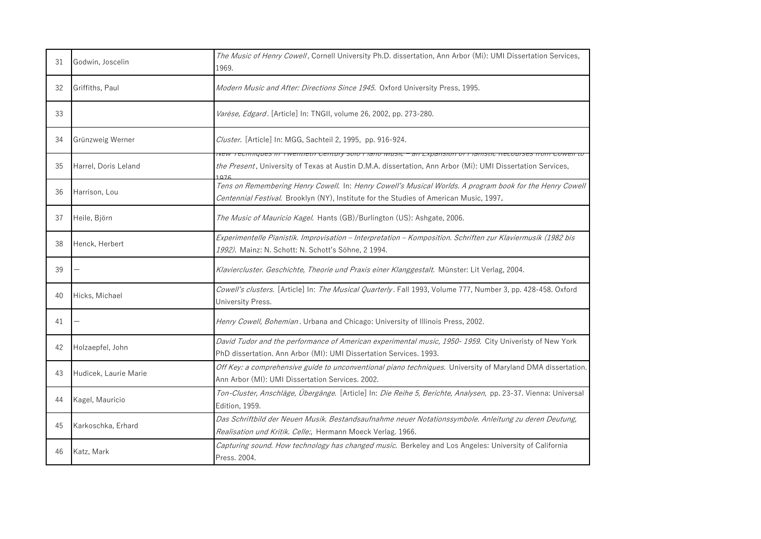| 31 | Godwin, Joscelin      | The Music of Henry Cowell, Cornell University Ph.D. dissertation, Ann Arbor (Mi): UMI Dissertation Services,<br>1969.                                                                                        |
|----|-----------------------|--------------------------------------------------------------------------------------------------------------------------------------------------------------------------------------------------------------|
| 32 | Griffiths, Paul       | Modern Music and After: Directions Since 1945. Oxford University Press, 1995.                                                                                                                                |
| 33 |                       | Varèse, Edgard. [Article] In: TNGII, volume 26, 2002, pp. 273-280.                                                                                                                                           |
| 34 | Grünzweig Werner      | Cluster. [Article] In: MGG, Sachteil 2, 1995, pp. 916-924.                                                                                                                                                   |
| 35 | Harrel, Doris Leland  | ivew Techniques in Twentieur Gentury solo Fiano wusic – an Expansion of Fianistic Neco<br>the Present, University of Texas at Austin D.M.A. dissertation, Ann Arbor (Mi): UMI Dissertation Services,<br>1076 |
| 36 | Harrison, Lou         | Tens on Remembering Henry Cowell. In: Henry Cowell's Musical Worlds. A program book for the Henry Cowell<br>Centennial Festival. Brooklyn (NY), Institute for the Studies of American Music, 1997.           |
| 37 | Heile, Björn          | The Music of Mauricio Kagel. Hants (GB)/Burlington (US): Ashgate, 2006.                                                                                                                                      |
| 38 | Henck, Herbert        | Experimentelle Pianistik. Improvisation - Interpretation - Komposition. Schriften zur Klaviermusik (1982 bis<br>1992). Mainz: N. Schott: N. Schott's Söhne, 2 1994.                                          |
|    |                       |                                                                                                                                                                                                              |
| 39 |                       | Klaviercluster. Geschichte, Theorie und Praxis einer Klanggestalt. Münster: Lit Verlag, 2004.                                                                                                                |
| 40 | Hicks, Michael        | Cowell's clusters. [Article] In: The Musical Quarterly. Fall 1993, Volume 777, Number 3, pp. 428-458. Oxford<br>University Press.                                                                            |
| 41 |                       | Henry Cowell, Bohemian. Urbana and Chicago: University of Illinois Press, 2002.                                                                                                                              |
| 42 | Holzaepfel, John      | David Tudor and the performance of American experimental music, 1950-1959. City Univeristy of New York<br>PhD dissertation. Ann Arbor (MI): UMI Dissertation Services. 1993.                                 |
| 43 | Hudicek, Laurie Marie | Off Key: a comprehensive guide to unconventional piano techniques. University of Maryland DMA dissertation.<br>Ann Arbor (MI): UMI Dissertation Services. 2002.                                              |
| 44 | Kagel, Mauricio       | Ton-Cluster, Anschläge, Übergänge. [Article] In: Die Reihe 5, Berichte, Analysen, pp. 23-37. Vienna: Universal<br>Edition, 1959.                                                                             |
| 45 | Karkoschka, Erhard    | Das Schriftbild der Neuen Musik. Bestandsaufnahme neuer Notationssymbole. Anleitung zu deren Deutung,<br>Realisation und Kritik. Celle:, Hermann Moeck Verlag. 1966.                                         |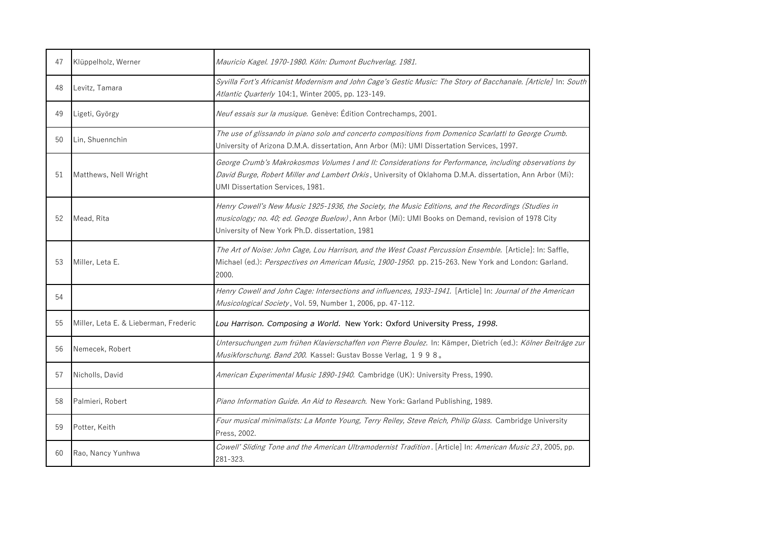| 47 | Klüppelholz, Werner                   | Mauricio Kagel. 1970-1980. Köln: Dumont Buchverlag. 1981.                                                                                                                                                                                                    |
|----|---------------------------------------|--------------------------------------------------------------------------------------------------------------------------------------------------------------------------------------------------------------------------------------------------------------|
| 48 | Levitz, Tamara                        | Syvilla Fort's Africanist Modernism and John Cage's Gestic Music: The Story of Bacchanale. [Article] In: South<br>Atlantic Quarterly 104:1, Winter 2005, pp. 123-149.                                                                                        |
| 49 | Ligeti, György                        | Neuf essais sur la musique. Genève: Édition Contrechamps, 2001.                                                                                                                                                                                              |
| 50 | Lin, Shuennchin                       | The use of glissando in piano solo and concerto compositions from Domenico Scarlatti to George Crumb.<br>University of Arizona D.M.A. dissertation, Ann Arbor (Mi): UMI Dissertation Services, 1997.                                                         |
| 51 | Matthews, Nell Wright                 | George Crumb's Makrokosmos Volumes I and II: Considerations for Performance, including observations by<br>David Burge, Robert Miller and Lambert Orkis, University of Oklahoma D.M.A. dissertation, Ann Arbor (Mi):<br>UMI Dissertation Services, 1981.      |
| 52 | Mead, Rita                            | Henry Cowell's New Music 1925-1936, the Society, the Music Editions, and the Recordings (Studies in<br>musicology; no. 40; ed. George Buelow), Ann Arbor (Mi): UMI Books on Demand, revision of 1978 City<br>University of New York Ph.D. dissertation, 1981 |
| 53 | Miller, Leta E.                       | The Art of Noise: John Cage, Lou Harrison, and the West Coast Percussion Ensemble. [Article]: In: Saffle,<br>Michael (ed.): Perspectives on American Music, 1900-1950. pp. 215-263. New York and London: Garland.<br>2000.                                   |
| 54 |                                       | Henry Cowell and John Cage: Intersections and influences, 1933-1941. [Article] In: Journal of the American<br>Musicological Society, Vol. 59, Number 1, 2006, pp. 47-112.                                                                                    |
| 55 | Miller, Leta E. & Lieberman, Frederic | Lou Harrison. Composing a World. New York: Oxford University Press, 1998.                                                                                                                                                                                    |
| 56 | Nemecek, Robert                       | Untersuchungen zum frühen Klavierschaffen von Pierre Boulez. In: Kämper, Dietrich (ed.): Kölner Beiträge zur<br>Musikforschung. Band 200. Kassel: Gustav Bosse Verlag, 1998.                                                                                 |
| 57 | Nicholls, David                       | American Experimental Music 1890-1940. Cambridge (UK): University Press, 1990.                                                                                                                                                                               |
| 58 | Palmieri, Robert                      | Piano Information Guide. An Aid to Research. New York: Garland Publishing, 1989.                                                                                                                                                                             |
| 59 | Potter, Keith                         | Four musical minimalists: La Monte Young, Terry Reiley, Steve Reich, Philip Glass. Cambridge University<br>Press, 2002.                                                                                                                                      |
| 60 | Rao, Nancy Yunhwa                     | Cowell' Sliding Tone and the American Ultramodernist Tradition. [Article] In: American Music 23, 2005, pp.<br>281-323.                                                                                                                                       |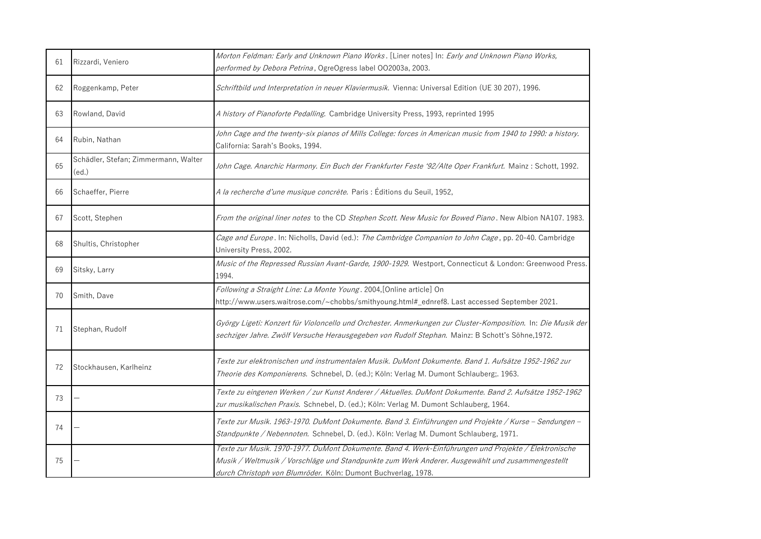| 61 | Rizzardi, Veniero                             | Morton Feldman: Early and Unknown Piano Works. [Liner notes] In: Early and Unknown Piano Works,<br>performed by Debora Petrina, OgreOgress label OO2003a, 2003.                                                                                                           |
|----|-----------------------------------------------|---------------------------------------------------------------------------------------------------------------------------------------------------------------------------------------------------------------------------------------------------------------------------|
| 62 | Roggenkamp, Peter                             | Schriftbild und Interpretation in neuer Klaviermusik. Vienna: Universal Edition (UE 30 207), 1996.                                                                                                                                                                        |
| 63 | Rowland, David                                | A history of Pianoforte Pedalling. Cambridge University Press, 1993, reprinted 1995                                                                                                                                                                                       |
| 64 | Rubin, Nathan                                 | John Cage and the twenty-six pianos of Mills College: forces in American music from 1940 to 1990: a history.<br>California: Sarah's Books, 1994.                                                                                                                          |
| 65 | Schädler, Stefan; Zimmermann, Walter<br>(ed.) | John Cage. Anarchic Harmony. Ein Buch der Frankfurter Feste '92/Alte Oper Frankfurt. Mainz: Schott, 1992.                                                                                                                                                                 |
| 66 | Schaeffer, Pierre                             | A la recherche d'une musique concrète. Paris : Éditions du Seuil, 1952,                                                                                                                                                                                                   |
| 67 | Scott, Stephen                                | From the original liner notes to the CD Stephen Scott. New Music for Bowed Piano. New Albion NA107. 1983.                                                                                                                                                                 |
| 68 | Shultis, Christopher                          | Cage and Europe. In: Nicholls, David (ed.): The Cambridge Companion to John Cage, pp. 20-40. Cambridge<br>University Press, 2002.                                                                                                                                         |
| 69 | Sitsky, Larry                                 | Music of the Repressed Russian Avant-Garde, 1900-1929. Westport, Connecticut & London: Greenwood Press.<br>1994.                                                                                                                                                          |
| 70 | Smith, Dave                                   | Following a Straight Line: La Monte Young. 2004, [Online article] On<br>http://www.users.waitrose.com/~chobbs/smithyoung.html#_ednref8. Last accessed September 2021.                                                                                                     |
| 71 | Stephan, Rudolf                               | György Ligeti: Konzert für Violoncello und Orchester. Anmerkungen zur Cluster-Komposition. In: Die Musik der<br>sechziger Jahre. Zwölf Versuche Herausgegeben von Rudolf Stephan. Mainz: B Schott's Söhne,1972.                                                           |
| 72 | Stockhausen, Karlheinz                        | Texte zur elektronischen und instrumentalen Musik. DuMont Dokumente. Band 1. Aufsätze 1952-1962 zur<br>Theorie des Komponierens. Schnebel, D. (ed.); Köln: Verlag M. Dumont Schlauberg;. 1963.                                                                            |
| 73 |                                               | Texte zu eingenen Werken / zur Kunst Anderer / Aktuelles. DuMont Dokumente. Band 2. Aufsätze 1952-1962<br>zur musikalischen Praxis. Schnebel, D. (ed.); Köln: Verlag M. Dumont Schlauberg, 1964.                                                                          |
| 74 |                                               | Texte zur Musik. 1963-1970. DuMont Dokumente. Band 3. Einführungen und Projekte / Kurse - Sendungen -<br>Standpunkte / Nebennoten. Schnebel, D. (ed.). Köln: Verlag M. Dumont Schlauberg, 1971.                                                                           |
| 75 |                                               | Texte zur Musik. 1970-1977. DuMont Dokumente. Band 4. Werk-Einführungen und Projekte / Elektronische<br>Musik / Weltmusik / Vorschläge und Standpunkte zum Werk Anderer. Ausgewählt und zusammengestellt<br>durch Christoph von Blumröder. Köln: Dumont Buchverlag, 1978. |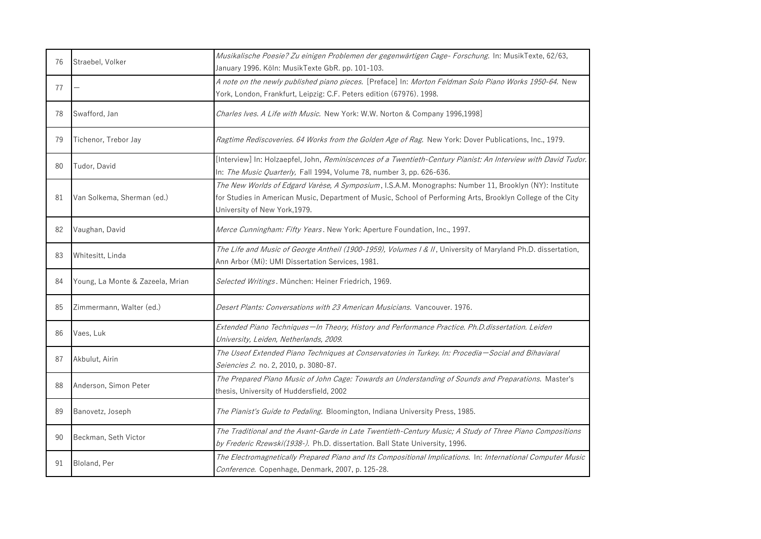| 76 | Straebel, Volker                 | Musikalische Poesie? Zu einigen Problemen der gegenwärtigen Cage- Forschung. In: MusikTexte, 62/63,<br>January 1996. Köln: MusikTexte GbR. pp. 101-103.                                                                                                |
|----|----------------------------------|--------------------------------------------------------------------------------------------------------------------------------------------------------------------------------------------------------------------------------------------------------|
| 77 |                                  | A note on the newly published piano pieces. [Preface] In: Morton Feldman Solo Piano Works 1950-64. New<br>York, London, Frankfurt, Leipzig: C.F. Peters edition (67976). 1998.                                                                         |
| 78 | Swafford, Jan                    | Charles Ives. A Life with Music. New York: W.W. Norton & Company 1996,1998]                                                                                                                                                                            |
| 79 | Tichenor, Trebor Jay             | Ragtime Rediscoveries. 64 Works from the Golden Age of Rag. New York: Dover Publications, Inc., 1979.                                                                                                                                                  |
| 80 | Tudor, David                     | [Interview] In: Holzaepfel, John, Reminiscences of a Twentieth-Century Pianist: An Interview with David Tudor.<br>In: The Music Quarterly, Fall 1994, Volume 78, number 3, pp. 626-636.                                                                |
| 81 | Van Solkema, Sherman (ed.)       | The New Worlds of Edgard Varèse, A Symposium, I.S.A.M. Monographs: Number 11, Brooklyn (NY): Institute<br>for Studies in American Music, Department of Music, School of Performing Arts, Brooklyn College of the City<br>University of New York, 1979. |
| 82 | Vaughan, David                   | Merce Cunningham: Fifty Years. New York: Aperture Foundation, Inc., 1997.                                                                                                                                                                              |
| 83 | Whitesitt, Linda                 | The Life and Music of George Antheil (1900-1959), Volumes I & II, University of Maryland Ph.D. dissertation,<br>Ann Arbor (Mi): UMI Dissertation Services, 1981.                                                                                       |
| 84 | Young, La Monte & Zazeela, Mrian | Selected Writings. München: Heiner Friedrich, 1969.                                                                                                                                                                                                    |
| 85 | Zimmermann, Walter (ed.)         | Desert Plants: Conversations with 23 American Musicians. Vancouver. 1976.                                                                                                                                                                              |
| 86 | Vaes, Luk                        | Extended Piano Techniques-In Theory, History and Performance Practice. Ph.D.dissertation. Leiden<br>University, Leiden, Netherlands, 2009.                                                                                                             |
| 87 | Akbulut, Airin                   | The Useof Extended Piano Techniques at Conservatories in Turkey. In: Procedia-Social and Bihaviaral<br>Seiencies 2. no. 2, 2010, p. 3080-87.                                                                                                           |
| 88 | Anderson, Simon Peter            | The Prepared Piano Music of John Cage: Towards an Understanding of Sounds and Preparations. Master's<br>thesis, University of Huddersfield, 2002                                                                                                       |
| 89 | Banovetz, Joseph                 | The Pianist's Guide to Pedaling. Bloomington, Indiana University Press, 1985.                                                                                                                                                                          |
| 90 | Beckman, Seth Victor             | The Traditional and the Avant-Garde in Late Twentieth-Century Music; A Study of Three Piano Compositions<br>by Frederic Rzewski(1938-). Ph.D. dissertation. Ball State University, 1996.                                                               |
| 91 | Bloland, Per                     | The Electromagnetically Prepared Piano and Its Compositional Implications. In: International Computer Music<br>Conference. Copenhage, Denmark, 2007, p. 125-28.                                                                                        |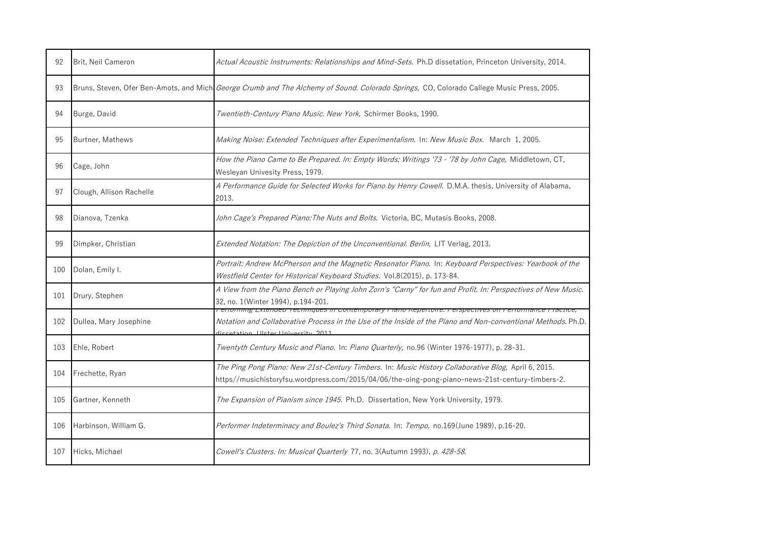| 92  | Brit, Neil Cameron       | Actual Acoustic Instruments: Relationships and Mind-Sets. Ph.D dissetation, Princeton University, 2014.                                                                                                                                       |
|-----|--------------------------|-----------------------------------------------------------------------------------------------------------------------------------------------------------------------------------------------------------------------------------------------|
| 93  |                          | Bruns, Steven, Ofer Ben-Amots, and Mich George Crumb and The Alchemy of Sound. Colorado Springs, CO, Colorado Callege Music Press, 2005.                                                                                                      |
| 94  | Burge, David             | Twentieth-Century Piano Music. New York, Schirmer Books, 1990.                                                                                                                                                                                |
| 95  | Burtner, Mathews         | Making Noise: Extended Techniques after Experimentalism. In: New Music Box. March 1, 2005.                                                                                                                                                    |
| 96  | Cage, John               | How the Piano Came to Be Prepared. In: Empty Words; Writings '73 - '78 by John Cage, Middletown, CT,<br>Wesleyan Univesity Press, 1979.                                                                                                       |
| 97  | Clough, Allison Rachelle | A Performance Guide for Selected Works for Piano by Henry Cowell. D.M.A. thesis, University of Alabama,<br>2013.                                                                                                                              |
| 98  | Dianova, Tzenka          | John Cage's Prepared Piano: The Nuts and Bolts. Victoria, BC, Mutasis Books, 2008.                                                                                                                                                            |
| 99  | Dimpker, Christian       | Extended Notation: The Depiction of the Unconventional. Berlin, LIT Verlag, 2013.                                                                                                                                                             |
| 100 | Dolan, Emily I.          | Portrait: Andrew McPherson and the Magnetic Resonator Piano. In: Keyboard Perspectives: Yearbook of the<br>Westfield Center for Historical Keyboard Studies. Vol.8(2015), p. 173-84.                                                          |
| 101 | Drury, Stephen           | A View from the Piano Bench or Playing John Zorn's "Carny" for fun and Profit. In: Perspectives of New Music.<br>32, no. 1(Winter 1994), p.194-201.                                                                                           |
| 102 | Dullea, Mary Josephine   | enominig Extended Techniques in Contemporary Frano Repertoire. Ferspectives on Ferrormance<br>Notation and Collaborative Process in the Use of the Inside of the Piano and Non-conventional Methods. Ph.D.<br>atation   Hetar Hnivareity 2011 |
| 103 | Ehle, Robert             | Twentyth Century Music and Piano. In: Piano Quarterly, no.96 (Winter 1976-1977), p. 28-31.                                                                                                                                                    |
| 104 | Frechette, Ryan          | The Ping Pong Piano: New 21st-Century Timbers. In: Music History Collaborative Blog, April 6, 2015.<br>https//musichistoryfsu.wordpress.com/2015/04/06/the-oing-pong-piano-news-21st-century-timbers-2.                                       |
| 105 | Gartner, Kenneth         | The Expansion of Pianism since 1945. Ph.D. Dissertation, New York University, 1979.                                                                                                                                                           |
| 106 | Harbinson, William G.    | Performer Indeterminacy and Boulez's Third Sonata. In: Tempo, no.169(June 1989), p.16-20.                                                                                                                                                     |
| 107 | Hicks, Michael           | Cowell's Clusters. In: Musical Quarterly 77, no. 3(Autumn 1993), p. 428-58.                                                                                                                                                                   |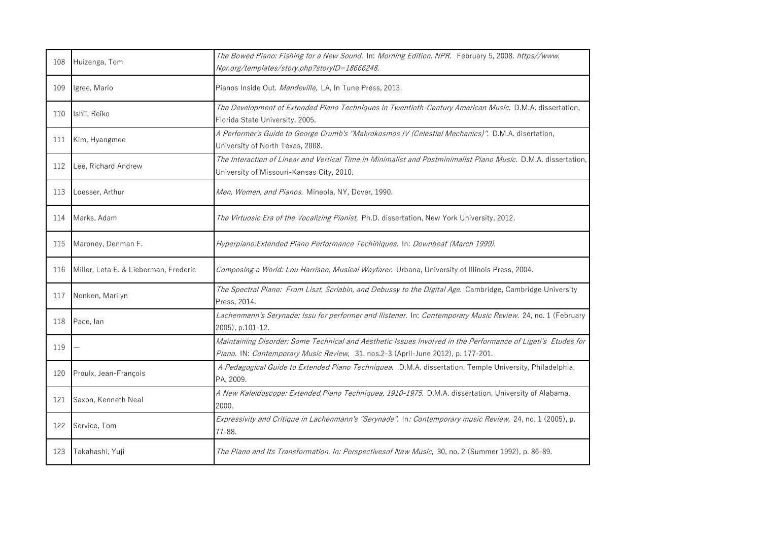| 108 | Huizenga, Tom                         | The Bowed Piano: Fishing for a New Sound. In: Morning Edition. NPR. February 5, 2008. https//www.<br>Npr.org/templates/story.php?storyID=18666248.                                               |
|-----|---------------------------------------|--------------------------------------------------------------------------------------------------------------------------------------------------------------------------------------------------|
| 109 | Igree, Mario                          | Pianos Inside Out. Mandeville, LA, In Tune Press, 2013.                                                                                                                                          |
| 110 | Ishii, Reiko                          | The Development of Extended Piano Techniques in Twentieth-Century American Music. D.M.A. dissertation,<br>Florida State University. 2005.                                                        |
| 111 | Kim, Hyangmee                         | A Performer's Guide to George Crumb's "Makrokosmos IV (Celestial Mechanics)". D.M.A. disertation,<br>University of North Texas, 2008.                                                            |
| 112 | Lee, Richard Andrew                   | The Interaction of Linear and Vertical Time in Minimalist and Postminimalist Piano Music. D.M.A. dissertation,<br>University of Missouri-Kansas City, 2010.                                      |
| 113 | Loesser, Arthur                       | Men, Women, and Pianos. Mineola, NY, Dover, 1990.                                                                                                                                                |
| 114 | Marks, Adam                           | The Virtuosic Era of the Vocalizing Pianist, Ph.D. dissertation, New York University, 2012.                                                                                                      |
| 115 | Maroney, Denman F.                    | Hyperpiano: Extended Piano Performance Techiniques. In: Downbeat (March 1999).                                                                                                                   |
| 116 | Miller, Leta E. & Lieberman, Frederic | Composing a World: Lou Harrison, Musical Wayfarer. Urbana, University of Illinois Press, 2004.                                                                                                   |
| 117 | Nonken, Marilyn                       | The Spectral Piano: From Liszt, Scriabin, and Debussy to the Digital Age. Cambridge, Cambridge University<br>Press, 2014.                                                                        |
| 118 | Pace, lan                             | Lachenmann's Serynade: Issu for performer and Ilistener. In: Contemporary Music Review. 24, no. 1 (February<br>2005), p.101-12.                                                                  |
| 119 |                                       | Maintaining Disorder: Some Technical and Aesthetic Issues Involved in the Performance of Ligeti's Etudes for<br>Piano. IN: Contemporary Music Review, 31, nos.2-3 (April-June 2012), p. 177-201. |
| 120 | Proulx, Jean-François                 | A Pedagogical Guide to Extended Piano Techniquea. D.M.A. dissertation, Temple University, Philadelphia,<br>PA, 2009.                                                                             |
| 121 | Saxon, Kenneth Neal                   | A New Kaleidoscope: Extended Piano Techniquea, 1910-1975. D.M.A. dissertation, University of Alabama,<br>2000.                                                                                   |
| 122 | Service, Tom                          | Expressivity and Critique in Lachenmann's "Serynade". In: Contemporary music Review, 24, no. 1 (2005), p.<br>77-88.                                                                              |
|     |                                       |                                                                                                                                                                                                  |